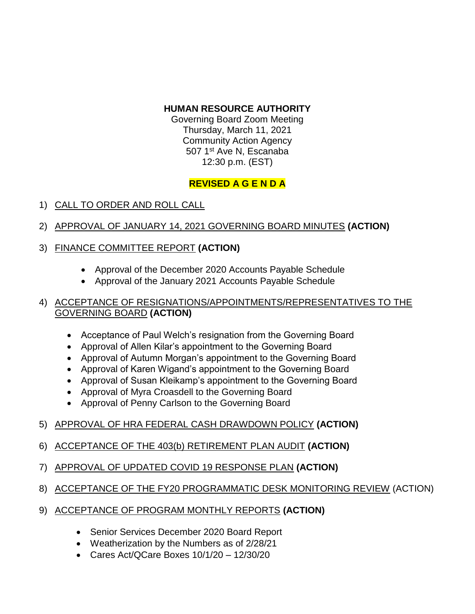### **HUMAN RESOURCE AUTHORITY**

Governing Board Zoom Meeting Thursday, March 11, 2021 Community Action Agency 507 1<sup>st</sup> Ave N, Escanaba 12:30 p.m. (EST)

# **REVISED A G E N D A**

## 1) CALL TO ORDER AND ROLL CALL

2) APPROVAL OF JANUARY 14, 2021 GOVERNING BOARD MINUTES **(ACTION)**

# 3) FINANCE COMMITTEE REPORT **(ACTION)**

- Approval of the December 2020 Accounts Payable Schedule
- Approval of the January 2021 Accounts Payable Schedule

#### 4) ACCEPTANCE OF RESIGNATIONS/APPOINTMENTS/REPRESENTATIVES TO THE GOVERNING BOARD **(ACTION)**

- Acceptance of Paul Welch's resignation from the Governing Board
- Approval of Allen Kilar's appointment to the Governing Board
- Approval of Autumn Morgan's appointment to the Governing Board
- Approval of Karen Wigand's appointment to the Governing Board
- Approval of Susan Kleikamp's appointment to the Governing Board
- Approval of Myra Croasdell to the Governing Board
- Approval of Penny Carlson to the Governing Board
- 5) APPROVAL OF HRA FEDERAL CASH DRAWDOWN POLICY **(ACTION)**
- 6) ACCEPTANCE OF THE 403(b) RETIREMENT PLAN AUDIT **(ACTION)**
- 7) APPROVAL OF UPDATED COVID 19 RESPONSE PLAN **(ACTION)**
- 8) ACCEPTANCE OF THE FY20 PROGRAMMATIC DESK MONITORING REVIEW (ACTION)
- 9) ACCEPTANCE OF PROGRAM MONTHLY REPORTS **(ACTION)**
	- Senior Services December 2020 Board Report
	- Weatherization by the Numbers as of 2/28/21
	- $\bullet$  Cares Act/OCare Boxes 10/1/20 12/30/20